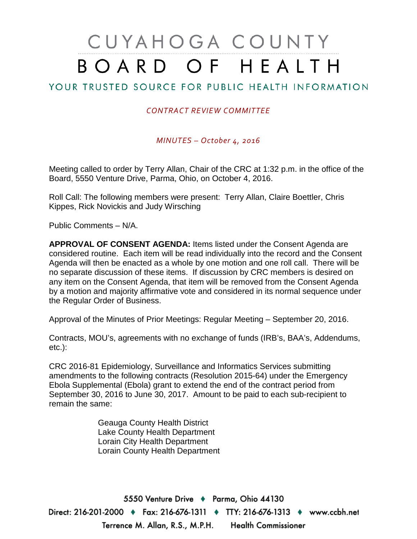# CUYAHOGA COUNTY BOARD OF HEALTH

# YOUR TRUSTED SOURCE FOR PUBLIC HEALTH INFORMATION

### *CONTRACT REVIEW COMMITTEE*

*MINUTES – October 4, 2016*

Meeting called to order by Terry Allan, Chair of the CRC at 1:32 p.m. in the office of the Board, 5550 Venture Drive, Parma, Ohio, on October 4, 2016.

Roll Call: The following members were present: Terry Allan, Claire Boettler, Chris Kippes, Rick Novickis and Judy Wirsching

Public Comments – N/A.

**APPROVAL OF CONSENT AGENDA:** Items listed under the Consent Agenda are considered routine. Each item will be read individually into the record and the Consent Agenda will then be enacted as a whole by one motion and one roll call. There will be no separate discussion of these items. If discussion by CRC members is desired on any item on the Consent Agenda, that item will be removed from the Consent Agenda by a motion and majority affirmative vote and considered in its normal sequence under the Regular Order of Business.

Approval of the Minutes of Prior Meetings: Regular Meeting – September 20, 2016.

Contracts, MOU's, agreements with no exchange of funds (IRB's, BAA's, Addendums, etc.):

CRC 2016-81 Epidemiology, Surveillance and Informatics Services submitting amendments to the following contracts (Resolution 2015-64) under the Emergency Ebola Supplemental (Ebola) grant to extend the end of the contract period from September 30, 2016 to June 30, 2017. Amount to be paid to each sub-recipient to remain the same:

> Geauga County Health District Lake County Health Department Lorain City Health Department Lorain County Health Department

5550 Venture Drive + Parma, Ohio 44130 Direct: 216-201-2000 ♦ Fax: 216-676-1311 ♦ TTY: 216-676-1313 ♦ www.ccbh.net Terrence M. Allan, R.S., M.P.H. **Health Commissioner**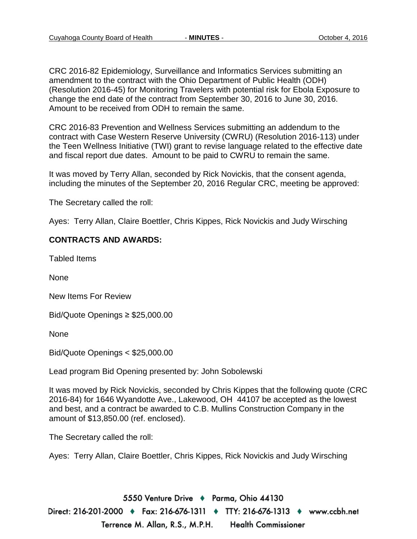CRC 2016-82 Epidemiology, Surveillance and Informatics Services submitting an amendment to the contract with the Ohio Department of Public Health (ODH) (Resolution 2016-45) for Monitoring Travelers with potential risk for Ebola Exposure to change the end date of the contract from September 30, 2016 to June 30, 2016. Amount to be received from ODH to remain the same.

CRC 2016-83 Prevention and Wellness Services submitting an addendum to the contract with Case Western Reserve University (CWRU) (Resolution 2016-113) under the Teen Wellness Initiative (TWI) grant to revise language related to the effective date and fiscal report due dates. Amount to be paid to CWRU to remain the same.

It was moved by Terry Allan, seconded by Rick Novickis, that the consent agenda, including the minutes of the September 20, 2016 Regular CRC, meeting be approved:

The Secretary called the roll:

Ayes: Terry Allan, Claire Boettler, Chris Kippes, Rick Novickis and Judy Wirsching

#### **CONTRACTS AND AWARDS:**

Tabled Items

None

New Items For Review

Bid/Quote Openings ≥ \$25,000.00

None

Bid/Quote Openings < \$25,000.00

Lead program Bid Opening presented by: John Sobolewski

It was moved by Rick Novickis, seconded by Chris Kippes that the following quote (CRC 2016-84) for 1646 Wyandotte Ave., Lakewood, OH 44107 be accepted as the lowest and best, and a contract be awarded to C.B. Mullins Construction Company in the amount of \$13,850.00 (ref. enclosed).

The Secretary called the roll:

Ayes: Terry Allan, Claire Boettler, Chris Kippes, Rick Novickis and Judy Wirsching

5550 Venture Drive + Parma, Ohio 44130 Direct: 216-201-2000 ♦ Fax: 216-676-1311 ♦ TTY: 216-676-1313 ♦ www.ccbh.net Terrence M. Allan, R.S., M.P.H. **Health Commissioner**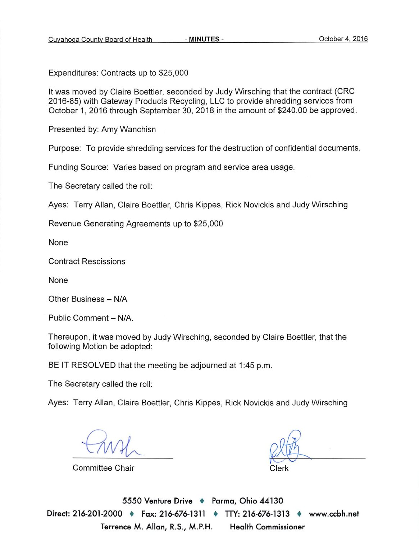Expenditures: Contracts up to \$25,000

It was moved by Claire Boettler, seconded by Judy Wirsching that the contract (CRC 2016-85) with Gateway Products Recycling, LLC to provide shredding services from October 1, 2016 through September 30, 2018 in the amount of \$240.00 be approved.

Presented by: Amy Wanchisn

Purpose: To provide shredding services for the destruction of confidential documents.

Funding Source: Varies based on program and service area usage.

The Secretary called the roll:

Ayes: Terry Allan, Claire Boettler, Chris Kippes, Rick Novickis and Judy Wirsching

Revenue Generating Agreements up to \$25,000

None

**Contract Rescissions** 

None

Other Business - N/A

Public Comment - N/A.

Thereupon, it was moved by Judy Wirsching, seconded by Claire Boettler, that the following Motion be adopted:

BE IT RESOLVED that the meeting be adjourned at 1:45 p.m.

The Secretary called the roll:

Ayes: Terry Allan, Claire Boettler, Chris Kippes, Rick Novickis and Judy Wirsching

Committee Chair

Clerk

5550 Venture Drive + Parma, Ohio 44130 Direct: 216-201-2000 • Fax: 216-676-1311 • TTY: 216-676-1313 • www.ccbh.net Terrence M. Allan, R.S., M.P.H. **Health Commissioner**